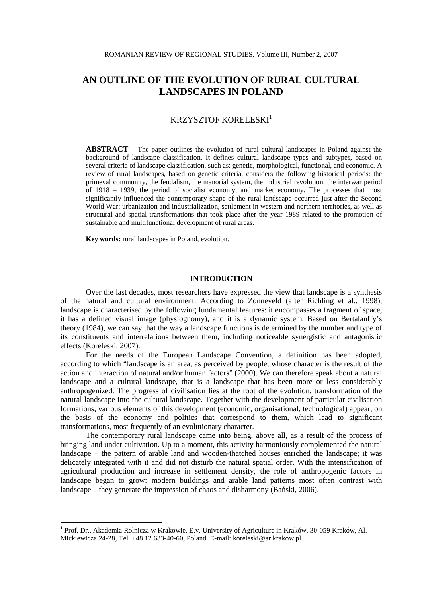# **AN OUTLINE OF THE EVOLUTION OF RURAL CULTURAL LANDSCAPES IN POLAND**

# KRZYSZTOF KORELESKI<sup>1</sup>

**ABSTRACT –** The paper outlines the evolution of rural cultural landscapes in Poland against the background of landscape classification. It defines cultural landscape types and subtypes, based on several criteria of landscape classification, such as: genetic, morphological, functional, and economic. A review of rural landscapes, based on genetic criteria, considers the following historical periods: the primeval community, the feudalism, the manorial system, the industrial revolution, the interwar period of 1918 – 1939, the period of socialist economy, and market economy. The processes that most significantly influenced the contemporary shape of the rural landscape occurred just after the Second World War: urbanization and industrialization, settlement in western and northern territories, as well as structural and spatial transformations that took place after the year 1989 related to the promotion of sustainable and multifunctional development of rural areas.

**Key words:** rural landscapes in Poland, evolution.

 $\overline{a}$ 

# **INTRODUCTION**

Over the last decades, most researchers have expressed the view that landscape is a synthesis of the natural and cultural environment. According to Zonneveld (after Richling et al., 1998), landscape is characterised by the following fundamental features: it encompasses a fragment of space, it has a defined visual image (physiognomy), and it is a dynamic system. Based on Bertalanffy's theory (1984), we can say that the way a landscape functions is determined by the number and type of its constituents and interrelations between them, including noticeable synergistic and antagonistic effects (Koreleski, 2007).

For the needs of the European Landscape Convention, a definition has been adopted, according to which "landscape is an area, as perceived by people, whose character is the result of the action and interaction of natural and/or human factors" (2000). We can therefore speak about a natural landscape and a cultural landscape, that is a landscape that has been more or less considerably anthropogenized. The progress of civilisation lies at the root of the evolution, transformation of the natural landscape into the cultural landscape. Together with the development of particular civilisation formations, various elements of this development (economic, organisational, technological) appear, on the basis of the economy and politics that correspond to them, which lead to significant transformations, most frequently of an evolutionary character.

 The contemporary rural landscape came into being, above all, as a result of the process of bringing land under cultivation. Up to a moment, this activity harmoniously complemented the natural landscape – the pattern of arable land and wooden-thatched houses enriched the landscape; it was delicately integrated with it and did not disturb the natural spatial order. With the intensification of agricultural production and increase in settlement density, the role of anthropogenic factors in landscape began to grow: modern buildings and arable land patterns most often contrast with landscape – they generate the impression of chaos and disharmony (Bański, 2006).

<sup>&</sup>lt;sup>1</sup> Prof. Dr., Akademia Rolnicza w Krakowie, E.v. University of Agriculture in Kraków, 30-059 Kraków, Al. Mickiewicza 24-28, Tel. +48 12 633-40-60, Poland. E-mail: koreleski@ar.krakow.pl.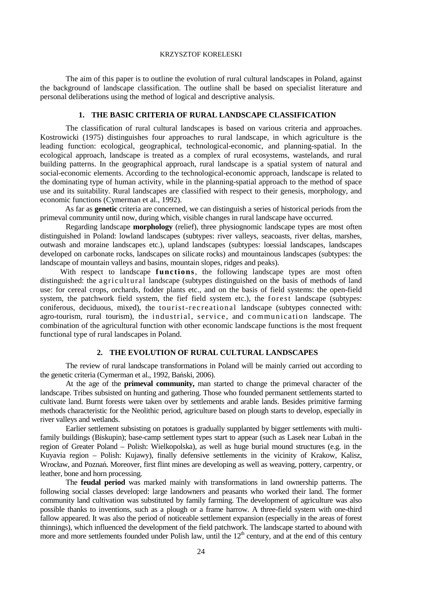#### KRZYSZTOF KORELESKI

 The aim of this paper is to outline the evolution of rural cultural landscapes in Poland, against the background of landscape classification. The outline shall be based on specialist literature and personal deliberations using the method of logical and descriptive analysis.

# **1. THE BASIC CRITERIA OF RURAL LANDSCAPE CLASSIFICATION**

The classification of rural cultural landscapes is based on various criteria and approaches. Kostrowicki (1975) distinguishes four approaches to rural landscape, in which agriculture is the leading function: ecological, geographical, technological-economic, and planning-spatial. In the ecological approach, landscape is treated as a complex of rural ecosystems, wastelands, and rural building patterns. In the geographical approach, rural landscape is a spatial system of natural and social-economic elements. According to the technological-economic approach, landscape is related to the dominating type of human activity, while in the planning-spatial approach to the method of space use and its suitability. Rural landscapes are classified with respect to their genesis, morphology, and economic functions (Cymerman et al., 1992).

As far as **genetic** criteria are concerned, we can distinguish a series of historical periods from the primeval community until now, during which, visible changes in rural landscape have occurred.

 Regarding landscape **morphology** (relief), three physiognomic landscape types are most often distinguished in Poland: lowland landscapes (subtypes: river valleys, seacoasts, river deltas, marshes, outwash and moraine landscapes etc.), upland landscapes (subtypes: loessial landscapes, landscapes developed on carbonate rocks, landscapes on silicate rocks) and mountainous landscapes (subtypes: the landscape of mountain valleys and basins, mountain slopes, ridges and peaks).

With respect to landscape **functions**, the following landscape types are most often distinguished: the agricultural landscape (subtypes distinguished on the basis of methods of land use: for cereal crops, orchards, fodder plants etc., and on the basis of field systems: the open-field system, the patchwork field system, the fief field system etc.), the forest landscape (subtypes: coniferous, deciduous, mixed), the tourist-recreational landscape (subtypes connected with: agro-tourism, rural tourism), the industrial, service, and communication landscape. The combination of the agricultural function with other economic landscape functions is the most frequent functional type of rural landscapes in Poland.

# **2. THE EVOLUTION OF RURAL CULTURAL LANDSCAPES**

The review of rural landscape transformations in Poland will be mainly carried out according to the genetic criteria (Cymerman et al., 1992, Bański, 2006).

At the age of the **primeval community,** man started to change the primeval character of the landscape. Tribes subsisted on hunting and gathering. Those who founded permanent settlements started to cultivate land. Burnt forests were taken over by settlements and arable lands. Besides primitive farming methods characteristic for the Neolithic period, agriculture based on plough starts to develop, especially in river valleys and wetlands.

Earlier settlement subsisting on potatoes is gradually supplanted by bigger settlements with multifamily buildings (Biskupin); base-camp settlement types start to appear (such as Lasek near Lubań in the region of Greater Poland – Polish: Wielkopolska), as well as huge burial mound structures (e.g. in the Kuyavia region – Polish: Kujawy), finally defensive settlements in the vicinity of Krakow, Kalisz, Wrocław, and Poznań. Moreover, first flint mines are developing as well as weaving, pottery, carpentry, or leather, bone and horn processing.

The **feudal period** was marked mainly with transformations in land ownership patterns. The following social classes developed: large landowners and peasants who worked their land. The former community land cultivation was substituted by family farming. The development of agriculture was also possible thanks to inventions, such as a plough or a frame harrow. A three-field system with one-third fallow appeared. It was also the period of noticeable settlement expansion (especially in the areas of forest thinnings), which influenced the development of the field patchwork. The landscape started to abound with more and more settlements founded under Polish law, until the  $12<sup>th</sup>$  century, and at the end of this century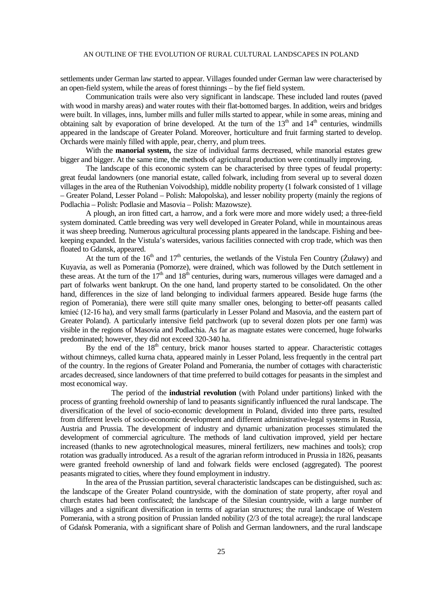#### AN OUTLINE OF THE EVOLUTION OF RURAL CULTURAL LANDSCAPES IN POLAND

settlements under German law started to appear. Villages founded under German law were characterised by an open-field system, while the areas of forest thinnings – by the fief field system.

Communication trails were also very significant in landscape. These included land routes (paved with wood in marshy areas) and water routes with their flat-bottomed barges. In addition, weirs and bridges were built. In villages, inns, lumber mills and fuller mills started to appear, while in some areas, mining and obtaining salt by evaporation of brine developed. At the turn of the  $13<sup>th</sup>$  and  $14<sup>th</sup>$  centuries, windmills appeared in the landscape of Greater Poland. Moreover, horticulture and fruit farming started to develop. Orchards were mainly filled with apple, pear, cherry, and plum trees.

With the **manorial system,** the size of individual farms decreased, while manorial estates grew bigger and bigger. At the same time, the methods of agricultural production were continually improving.

The landscape of this economic system can be characterised by three types of feudal property: great feudal landowners (one manorial estate, called folwark, including from several up to several dozen villages in the area of the Ruthenian Voivodship), middle nobility property (1 folwark consisted of 1 village – Greater Poland, Lesser Poland – Polish: Małopolska), and lesser nobility property (mainly the regions of Podlachia – Polish: Podlasie and Masovia – Polish: Mazowsze).

A plough, an iron fitted cart, a harrow, and a fork were more and more widely used; a three-field system dominated. Cattle breeding was very well developed in Greater Poland, while in mountainous areas it was sheep breeding. Numerous agricultural processing plants appeared in the landscape. Fishing and beekeeping expanded. In the Vistula's watersides, various facilities connected with crop trade, which was then floated to Gdansk, appeared.

At the turn of the  $16<sup>th</sup>$  and  $17<sup>th</sup>$  centuries, the wetlands of the Vistula Fen Country ( $\zeta$ uławy) and Kuyavia, as well as Pomerania (Pomorze), were drained, which was followed by the Dutch settlement in these areas. At the turn of the  $17<sup>th</sup>$  and  $18<sup>th</sup>$  centuries, during wars, numerous villages were damaged and a part of folwarks went bankrupt. On the one hand, land property started to be consolidated. On the other hand, differences in the size of land belonging to individual farmers appeared. Beside huge farms (the region of Pomerania), there were still quite many smaller ones, belonging to better-off peasants called kmieć (12-16 ha), and very small farms (particularly in Lesser Poland and Masovia, and the eastern part of Greater Poland). A particularly intensive field patchwork (up to several dozen plots per one farm) was visible in the regions of Masovia and Podlachia. As far as magnate estates were concerned, huge folwarks predominated; however, they did not exceed 320-340 ha.

By the end of the  $18<sup>th</sup>$  century, brick manor houses started to appear. Characteristic cottages without chimneys, called kurna chata, appeared mainly in Lesser Poland, less frequently in the central part of the country. In the regions of Greater Poland and Pomerania, the number of cottages with characteristic arcades decreased, since landowners of that time preferred to build cottages for peasants in the simplest and most economical way.

 The period of the **industrial revolution** (with Poland under partitions) linked with the process of granting freehold ownership of land to peasants significantly influenced the rural landscape. The diversification of the level of socio-economic development in Poland, divided into three parts, resulted from different levels of socio-economic development and different administrative-legal systems in Russia, Austria and Prussia. The development of industry and dynamic urbanization processes stimulated the development of commercial agriculture. The methods of land cultivation improved, yield per hectare increased (thanks to new agrotechnological measures, mineral fertilizers, new machines and tools); crop rotation was gradually introduced. As a result of the agrarian reform introduced in Prussia in 1826, peasants were granted freehold ownership of land and folwark fields were enclosed (aggregated). The poorest peasants migrated to cities, where they found employment in industry.

In the area of the Prussian partition, several characteristic landscapes can be distinguished, such as: the landscape of the Greater Poland countryside, with the domination of state property, after royal and church estates had been confiscated; the landscape of the Silesian countryside, with a large number of villages and a significant diversification in terms of agrarian structures; the rural landscape of Western Pomerania, with a strong position of Prussian landed nobility (2/3 of the total acreage); the rural landscape of Gdańsk Pomerania, with a significant share of Polish and German landowners, and the rural landscape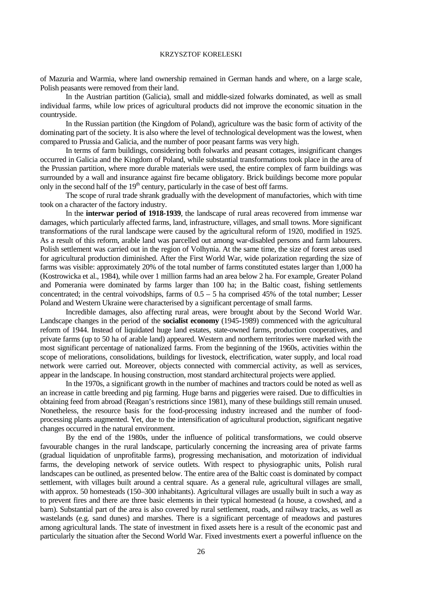#### KRZYSZTOF KORELESKI

of Mazuria and Warmia, where land ownership remained in German hands and where, on a large scale, Polish peasants were removed from their land.

In the Austrian partition (Galicia), small and middle-sized folwarks dominated, as well as small individual farms, while low prices of agricultural products did not improve the economic situation in the countryside.

In the Russian partition (the Kingdom of Poland), agriculture was the basic form of activity of the dominating part of the society. It is also where the level of technological development was the lowest, when compared to Prussia and Galicia, and the number of poor peasant farms was very high.

In terms of farm buildings, considering both folwarks and peasant cottages, insignificant changes occurred in Galicia and the Kingdom of Poland, while substantial transformations took place in the area of the Prussian partition, where more durable materials were used, the entire complex of farm buildings was surrounded by a wall and insurance against fire became obligatory. Brick buildings become more popular only in the second half of the  $19<sup>th</sup>$  century, particularly in the case of best off farms.

The scope of rural trade shrank gradually with the development of manufactories, which with time took on a character of the factory industry.

In the **interwar period of 1918-1939**, the landscape of rural areas recovered from immense war damages, which particularly affected farms, land, infrastructure, villages, and small towns. More significant transformations of the rural landscape were caused by the agricultural reform of 1920, modified in 1925. As a result of this reform, arable land was parcelled out among war-disabled persons and farm labourers. Polish settlement was carried out in the region of Volhynia. At the same time, the size of forest areas used for agricultural production diminished. After the First World War, wide polarization regarding the size of farms was visible: approximately 20% of the total number of farms constituted estates larger than 1,000 ha (Kostrowicka et al., 1984), while over 1 million farms had an area below 2 ha. For example, Greater Poland and Pomerania were dominated by farms larger than 100 ha; in the Baltic coast, fishing settlements concentrated; in the central voivodships, farms of  $0.5 - 5$  ha comprised 45% of the total number; Lesser Poland and Western Ukraine were characterised by a significant percentage of small farms.

Incredible damages, also affecting rural areas, were brought about by the Second World War. Landscape changes in the period of the **socialist economy** (1945-1989) commenced with the agricultural reform of 1944. Instead of liquidated huge land estates, state-owned farms, production cooperatives, and private farms (up to 50 ha of arable land) appeared. Western and northern territories were marked with the most significant percentage of nationalized farms. From the beginning of the 1960s, activities within the scope of meliorations, consolidations, buildings for livestock, electrification, water supply, and local road network were carried out. Moreover, objects connected with commercial activity, as well as services, appear in the landscape. In housing construction, most standard architectural projects were applied.

In the 1970s, a significant growth in the number of machines and tractors could be noted as well as an increase in cattle breeding and pig farming. Huge barns and piggeries were raised. Due to difficulties in obtaining feed from abroad (Reagan's restrictions since 1981), many of these buildings still remain unused. Nonetheless, the resource basis for the food-processing industry increased and the number of foodprocessing plants augmented. Yet, due to the intensification of agricultural production, significant negative changes occurred in the natural environment.

By the end of the 1980s, under the influence of political transformations, we could observe favourable changes in the rural landscape, particularly concerning the increasing area of private farms (gradual liquidation of unprofitable farms), progressing mechanisation, and motorization of individual farms, the developing network of service outlets. With respect to physiographic units, Polish rural landscapes can be outlined, as presented below. The entire area of the Baltic coast is dominated by compact settlement, with villages built around a central square. As a general rule, agricultural villages are small, with approx. 50 homesteads (150–300 inhabitants). Agricultural villages are usually built in such a way as to prevent fires and there are three basic elements in their typical homestead (a house, a cowshed, and a barn). Substantial part of the area is also covered by rural settlement, roads, and railway tracks, as well as wastelands (e.g. sand dunes) and marshes. There is a significant percentage of meadows and pastures among agricultural lands. The state of investment in fixed assets here is a result of the economic past and particularly the situation after the Second World War. Fixed investments exert a powerful influence on the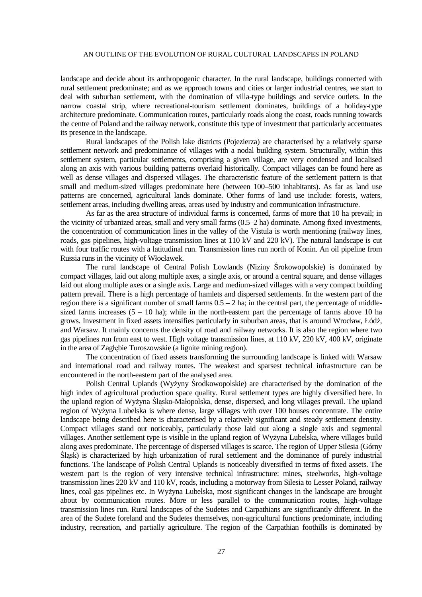#### AN OUTLINE OF THE EVOLUTION OF RURAL CULTURAL LANDSCAPES IN POLAND

landscape and decide about its anthropogenic character. In the rural landscape, buildings connected with rural settlement predominate; and as we approach towns and cities or larger industrial centres, we start to deal with suburban settlement, with the domination of villa-type buildings and service outlets. In the narrow coastal strip, where recreational-tourism settlement dominates, buildings of a holiday-type architecture predominate. Communication routes, particularly roads along the coast, roads running towards the centre of Poland and the railway network, constitute this type of investment that particularly accentuates its presence in the landscape.

Rural landscapes of the Polish lake districts (Pojezierza) are characterised by a relatively sparse settlement network and predominance of villages with a nodal building system. Structurally, within this settlement system, particular settlements, comprising a given village, are very condensed and localised along an axis with various building patterns overlaid historically. Compact villages can be found here as well as dense villages and dispersed villages. The characteristic feature of the settlement pattern is that small and medium-sized villages predominate here (between 100–500 inhabitants). As far as land use patterns are concerned, agricultural lands dominate. Other forms of land use include: forests, waters, settlement areas, including dwelling areas, areas used by industry and communication infrastructure.

As far as the area structure of individual farms is concerned, farms of more that 10 ha prevail; in the vicinity of urbanized areas, small and very small farms (0.5–2 ha) dominate. Among fixed investments, the concentration of communication lines in the valley of the Vistula is worth mentioning (railway lines, roads, gas pipelines, high-voltage transmission lines at 110 kV and 220 kV). The natural landscape is cut with four traffic routes with a latitudinal run. Transmission lines run north of Konin. An oil pipeline from Russia runs in the vicinity of Włocławek.

The rural landscape of Central Polish Lowlands (Niziny Śrokowopolskie) is dominated by compact villages, laid out along multiple axes, a single axis, or around a central square, and dense villages laid out along multiple axes or a single axis. Large and medium-sized villages with a very compact building pattern prevail. There is a high percentage of hamlets and dispersed settlements. In the western part of the region there is a significant number of small farms  $0.5 - 2$  ha; in the central part, the percentage of middlesized farms increases  $(5 - 10$  ha); while in the north-eastern part the percentage of farms above 10 ha grows. Investment in fixed assets intensifies particularly in suburban areas, that is around Wrocław, Łódź, and Warsaw. It mainly concerns the density of road and railway networks. It is also the region where two gas pipelines run from east to west. High voltage transmission lines, at 110 kV, 220 kV, 400 kV, originate in the area of Zagłębie Turoszowskie (a lignite mining region).

The concentration of fixed assets transforming the surrounding landscape is linked with Warsaw and international road and railway routes. The weakest and sparsest technical infrastructure can be encountered in the north-eastern part of the analysed area.

Polish Central Uplands (Wyżyny Środkowopolskie) are characterised by the domination of the high index of agricultural production space quality. Rural settlement types are highly diversified here. In the upland region of WyŜyna Śląsko-Małopolska, dense, dispersed, and long villages prevail. The upland region of Wyżyna Lubelska is where dense, large villages with over 100 houses concentrate. The entire landscape being described here is characterised by a relatively significant and steady settlement density. Compact villages stand out noticeably, particularly those laid out along a single axis and segmental villages. Another settlement type is visible in the upland region of Wyżyna Lubelska, where villages build along axes predominate. The percentage of dispersed villages is scarce. The region of Upper Silesia (Górny Śląsk) is characterized by high urbanization of rural settlement and the dominance of purely industrial functions. The landscape of Polish Central Uplands is noticeably diversified in terms of fixed assets. The western part is the region of very intensive technical infrastructure: mines, steelworks, high-voltage transmission lines 220 kV and 110 kV, roads, including a motorway from Silesia to Lesser Poland, railway lines, coal gas pipelines etc. In Wyżyna Lubelska, most significant changes in the landscape are brought about by communication routes. More or less parallel to the communication routes, high-voltage transmission lines run. Rural landscapes of the Sudetes and Carpathians are significantly different. In the area of the Sudete foreland and the Sudetes themselves, non-agricultural functions predominate, including industry, recreation, and partially agriculture. The region of the Carpathian foothills is dominated by